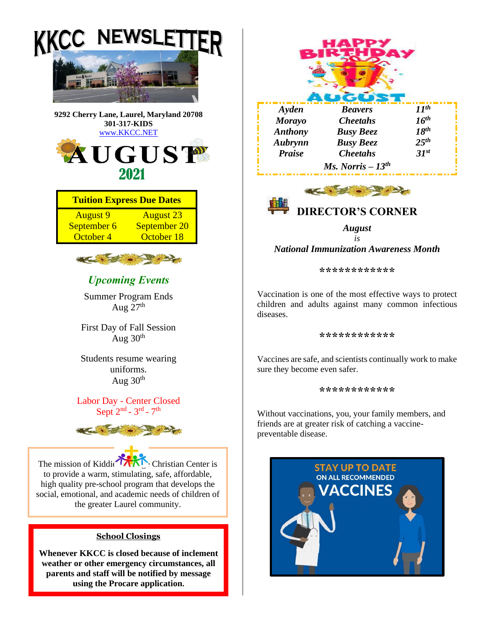

**weather or other emergency circumstances, all parents and staff will be notified by message using the Procare application.**





*August is National Immunization Awareness Month*

**\*\*\*\*\*\*\*\*\*\*\*\***

Vaccination is one of the most effective ways to protect children and adults against many common infectious diseases.

#### **\*\*\*\*\*\*\*\*\*\*\*\***

Vaccines are safe, and scientists continually work to make sure they become even safer.

#### **\*\*\*\*\*\*\*\*\*\*\*\***

Without vaccinations, you, your family members, and friends are at greater risk of catching a vaccinepreventable disease.

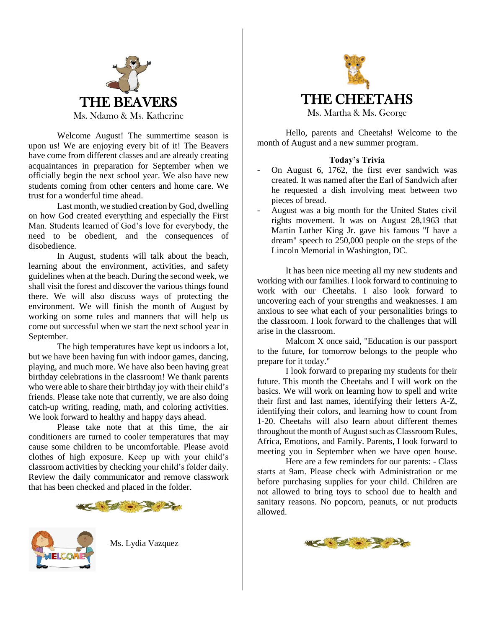

Welcome August! The summertime season is upon us! We are enjoying every bit of it! The Beavers have come from different classes and are already creating acquaintances in preparation for September when we officially begin the next school year. We also have new students coming from other centers and home care. We trust for a wonderful time ahead.

Last month, we studied creation by God, dwelling on how God created everything and especially the First Man. Students learned of God's love for everybody, the need to be obedient, and the consequences of disobedience.

In August, students will talk about the beach, learning about the environment, activities, and safety guidelines when at the beach. During the second week, we shall visit the forest and discover the various things found there. We will also discuss ways of protecting the environment. We will finish the month of August by working on some rules and manners that will help us come out successful when we start the next school year in September.

The high temperatures have kept us indoors a lot, but we have been having fun with indoor games, dancing, playing, and much more. We have also been having great birthday celebrations in the classroom! We thank parents who were able to share their birthday joy with their child's friends. Please take note that currently, we are also doing catch-up writing, reading, math, and coloring activities. We look forward to healthy and happy days ahead.

Please take note that at this time, the air conditioners are turned to cooler temperatures that may cause some children to be uncomfortable. Please avoid clothes of high exposure. Keep up with your child's classroom activities by checking your child's folder daily. Review the daily communicator and remove classwork that has been checked and placed in the folder.





Ms. Lydia Vazquez



Hello, parents and Cheetahs! Welcome to the month of August and a new summer program.

### **Today's Trivia**

- On August 6, 1762, the first ever sandwich was created. It was named after the Earl of Sandwich after he requested a dish involving meat between two pieces of bread.
- August was a big month for the United States civil rights movement. It was on August 28,1963 that Martin Luther King Jr. gave his famous "I have a dream" speech to 250,000 people on the steps of the Lincoln Memorial in Washington, DC.

It has been nice meeting all my new students and working with our families. I look forward to continuing to work with our Cheetahs. I also look forward to uncovering each of your strengths and weaknesses. I am anxious to see what each of your personalities brings to the classroom. I look forward to the challenges that will arise in the classroom.

Malcom X once said, "Education is our passport to the future, for tomorrow belongs to the people who prepare for it today."

I look forward to preparing my students for their future. This month the Cheetahs and I will work on the basics. We will work on learning how to spell and write their first and last names, identifying their letters A-Z, identifying their colors, and learning how to count from 1-20. Cheetahs will also learn about different themes throughout the month of August such as Classroom Rules, Africa, Emotions, and Family. Parents, I look forward to meeting you in September when we have open house.

Here are a few reminders for our parents: - Class starts at 9am. Please check with Administration or me before purchasing supplies for your child. Children are not allowed to bring toys to school due to health and sanitary reasons. No popcorn, peanuts, or nut products allowed.

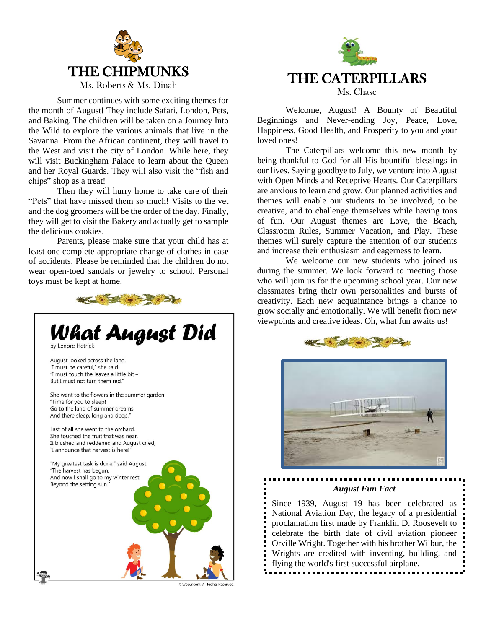

Summer continues with some exciting themes for the month of August! They include Safari, London, Pets, and Baking. The children will be taken on a Journey Into the Wild to explore the various animals that live in the Savanna. From the African continent, they will travel to the West and visit the city of London. While here, they will visit Buckingham Palace to learn about the Queen and her Royal Guards. They will also visit the "fish and chips" shop as a treat!

Then they will hurry home to take care of their "Pets" that have missed them so much! Visits to the vet and the dog groomers will be the order of the day. Finally, they will get to visit the Bakery and actually get to sample the delicious cookies.

Parents, please make sure that your child has at least one complete appropriate change of clothes in case of accidents. Please be reminded that the children do not wear open-toed sandals or jewelry to school. Personal toys must be kept at home.





Welcome, August! A Bounty of Beautiful Beginnings and Never-ending Joy, Peace, Love, Happiness, Good Health, and Prosperity to you and your loved ones!

The Caterpillars welcome this new month by being thankful to God for all His bountiful blessings in our lives. Saying goodbye to July, we venture into August with Open Minds and Receptive Hearts. Our Caterpillars are anxious to learn and grow. Our planned activities and themes will enable our students to be involved, to be creative, and to challenge themselves while having tons of fun. Our August themes are Love, the Beach, Classroom Rules, Summer Vacation, and Play. These themes will surely capture the attention of our students and increase their enthusiasm and eagerness to learn.

We welcome our new students who joined us during the summer. We look forward to meeting those who will join us for the upcoming school year. Our new classmates bring their own personalities and bursts of creativity. Each new acquaintance brings a chance to grow socially and emotionally. We will benefit from new viewpoints and creative ideas. Oh, what fun awaits us!





*August Fun Fact*

Since 1939, August 19 has been celebrated as National Aviation Day, the legacy of a presidential proclamation first made by Franklin D. Roosevelt to celebrate the birth date of civil aviation pioneer Orville Wright. Together with his brother Wilbur, the Wrights are credited with inventing, building, and flying the world's first successful airplane.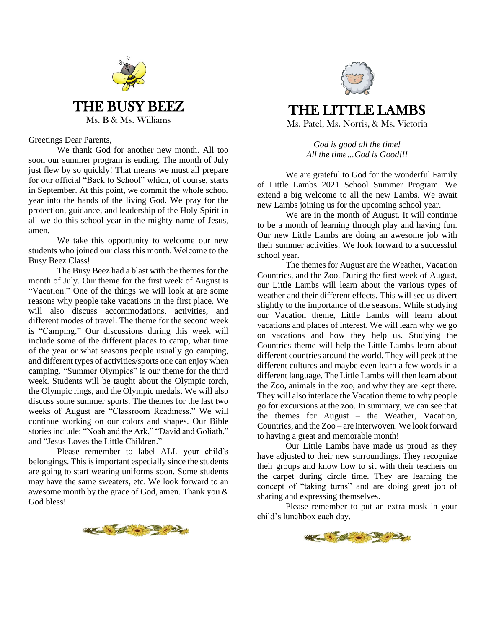

Greetings Dear Parents,

We thank God for another new month. All too soon our summer program is ending. The month of July just flew by so quickly! That means we must all prepare for our official "Back to School" which, of course, starts in September. At this point, we commit the whole school year into the hands of the living God. We pray for the protection, guidance, and leadership of the Holy Spirit in all we do this school year in the mighty name of Jesus, amen.

We take this opportunity to welcome our new students who joined our class this month. Welcome to the Busy Beez Class!

The Busy Beez had a blast with the themes for the month of July. Our theme for the first week of August is "Vacation." One of the things we will look at are some reasons why people take vacations in the first place. We will also discuss accommodations, activities, and different modes of travel. The theme for the second week is "Camping." Our discussions during this week will include some of the different places to camp, what time of the year or what seasons people usually go camping, and different types of activities/sports one can enjoy when camping. "Summer Olympics" is our theme for the third week. Students will be taught about the Olympic torch, the Olympic rings, and the Olympic medals. We will also discuss some summer sports. The themes for the last two weeks of August are "Classroom Readiness." We will continue working on our colors and shapes. Our Bible stories include: "Noah and the Ark," "David and Goliath," and "Jesus Loves the Little Children."

Please remember to label ALL your child's belongings. This is important especially since the students are going to start wearing uniforms soon. Some students may have the same sweaters, etc. We look forward to an awesome month by the grace of God, amen. Thank you & God bless!





# THE LITTLE LAMBS Ms. Patel, Ms. Norris, & Ms. Victoria

*God is good all the time! All the time…God is Good!!!*

We are grateful to God for the wonderful Family of Little Lambs 2021 School Summer Program. We extend a big welcome to all the new Lambs. We await new Lambs joining us for the upcoming school year.

We are in the month of August. It will continue to be a month of learning through play and having fun. Our new Little Lambs are doing an awesome job with their summer activities. We look forward to a successful school year.

The themes for August are the Weather, Vacation Countries, and the Zoo. During the first week of August, our Little Lambs will learn about the various types of weather and their different effects. This will see us divert slightly to the importance of the seasons. While studying our Vacation theme, Little Lambs will learn about vacations and places of interest. We will learn why we go on vacations and how they help us. Studying the Countries theme will help the Little Lambs learn about different countries around the world. They will peek at the different cultures and maybe even learn a few words in a different language. The Little Lambs will then learn about the Zoo, animals in the zoo, and why they are kept there. They will also interlace the Vacation theme to why people go for excursions at the zoo. In summary, we can see that the themes for August – the Weather, Vacation, Countries, and the Zoo – are interwoven. We look forward to having a great and memorable month!

Our Little Lambs have made us proud as they have adjusted to their new surroundings. They recognize their groups and know how to sit with their teachers on the carpet during circle time. They are learning the concept of "taking turns" and are doing great job of sharing and expressing themselves.

Please remember to put an extra mask in your child's lunchbox each day.